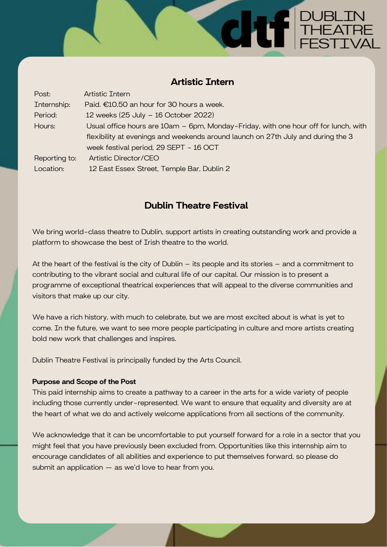# Artistic Intern

**CALLE THEATRE** 

| Post:         | <b>Artistic Intern</b>                                                              |
|---------------|-------------------------------------------------------------------------------------|
| Internship:   | Paid. €10.50 an hour for 30 hours a week.                                           |
| Period:       | 12 weeks (25 July - 16 October 2022)                                                |
| Hours:        | Usual office hours are 10am – 6pm, Monday-Friday, with one hour off for lunch, with |
|               | flexibility at evenings and weekends around launch on 27th July and during the 3    |
|               | week festival period, 29 SEPT - 16 OCT                                              |
| Reporting to: | Artistic Director/CEO                                                               |
| Location:     | 12 East Essex Street, Temple Bar, Dublin 2                                          |

# Dublin Theatre Festival

We bring world-class theatre to Dublin, support artists in creating outstanding work and provide a platform to showcase the best of Irish theatre to the world.

At the heart of the festival is the city of Dublin – its people and its stories – and a commitment to contributing to the vibrant social and cultural life of our capital. Our mission is to present a programme of exceptional theatrical experiences that will appeal to the diverse communities and visitors that make up our city.

We have a rich history, with much to celebrate, but we are most excited about is what is yet to come. In the future, we want to see more people participating in culture and more artists creating bold new work that challenges and inspires.

Dublin Theatre Festival is principally funded by the Arts Council.

# Purpose and Scope of the Post

This paid internship aims to create a pathway to a career in the arts for a wide variety of people including those currently under-represented. We want to ensure that equality and diversity are at the heart of what we do and actively welcome applications from all sections of the community.

We acknowledge that it can be uncomfortable to put yourself forward for a role in a sector that you might feel that you have previously been excluded from. Opportunities like this internship aim to encourage candidates of all abilities and experience to put themselves forward, so please do submit an application — as we'd love to hear from you.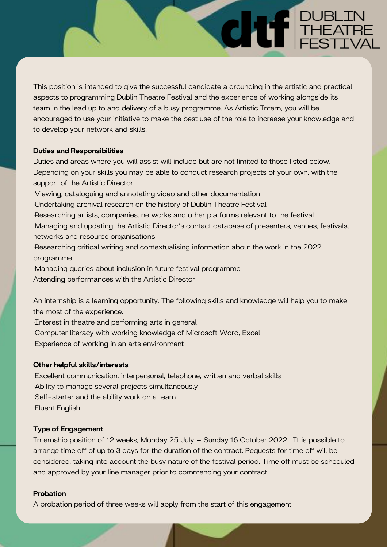This position is intended to give the successful candidate a grounding in the artistic and practical aspects to programming Dublin Theatre Festival and the experience of working alongside its team in the lead up to and delivery of a busy programme. As Artistic Intern, you will be encouraged to use your initiative to make the best use of the role to increase your knowledge and to develop your network and skills.

**THEATRE** 

#### Duties and Responsibilities

Duties and areas where you will assist will include but are not limited to those listed below. Depending on your skills you may be able to conduct research projects of your own, with the support of the Artistic Director ·Viewing, cataloguing and annotating video and other documentation ·Undertaking archival research on the history of Dublin Theatre Festival ·Researching artists, companies, networks and other platforms relevant to the festival ·Managing and updating the Artistic Director's contact database of presenters, venues, festivals, networks and resource organisations ·Researching critical writing and contextualising information about the work in the 2022 programme ·Managing queries about inclusion in future festival programme Attending performances with the Artistic Director

An internship is a learning opportunity. The following skills and knowledge will help you to make the most of the experience.

·Interest in theatre and performing arts in general ·Computer literacy with working knowledge of Microsoft Word, Excel

·Experience of working in an arts environment

# Other helpful skills/interests

·Excellent communication, interpersonal, telephone, written and verbal skills ·Ability to manage several projects simultaneously ·Self-starter and the ability work on a team ·Fluent English

# Type of Engagement

Internship position of 12 weeks, Monday 25 July – Sunday 16 October 2022. It is possible to arrange time off of up to 3 days for the duration of the contract. Requests for time off will be considered, taking into account the busy nature of the festival period. Time off must be scheduled and approved by your line manager prior to commencing your contract.

## Probation

A probation period of three weeks will apply from the start of this engagement